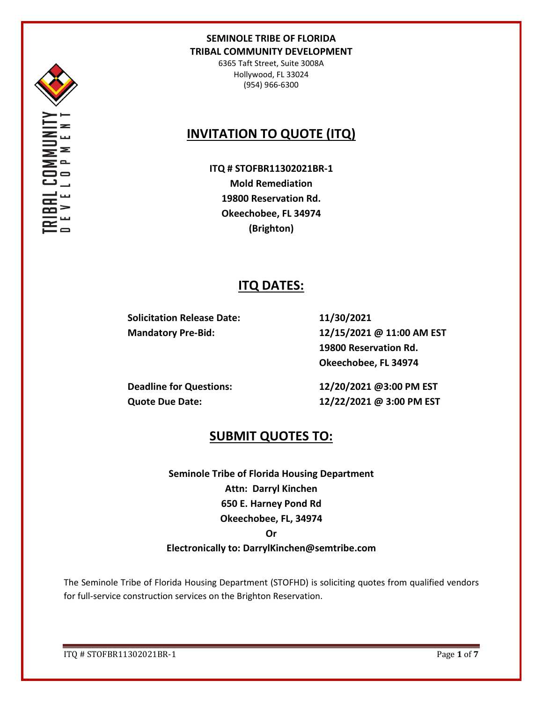

6365 Taft Street, Suite 3008A Hollywood, FL 33024 (954) 966-6300

# **INVITATION TO QUOTE (ITQ)**

**ITQ # STOFBR11302021BR-1 Mold Remediation 19800 Reservation Rd. Okeechobee, FL 34974 (Brighton)**

## **ITQ DATES:**

**Solicitation Release Date: 11/30/2021**

**Mandatory Pre-Bid: 12/15/2021 @ 11:00 AM EST 19800 Reservation Rd. Okeechobee, FL 34974**

**Deadline for Questions: 12/20/2021 @3:00 PM EST Quote Due Date: 12/22/2021 @ 3:00 PM EST**

## **SUBMIT QUOTES TO:**

**Seminole Tribe of Florida Housing Department Attn: Darryl Kinchen 650 E. Harney Pond Rd Okeechobee, FL, 34974**

#### **Or**

### **Electronically to: DarrylKinchen@semtribe.com**

The Seminole Tribe of Florida Housing Department (STOFHD) is soliciting quotes from qualified vendors for full-service construction services on the Brighton Reservation.

ITQ # STOFBR11302021BR-1 Page **1** of **7**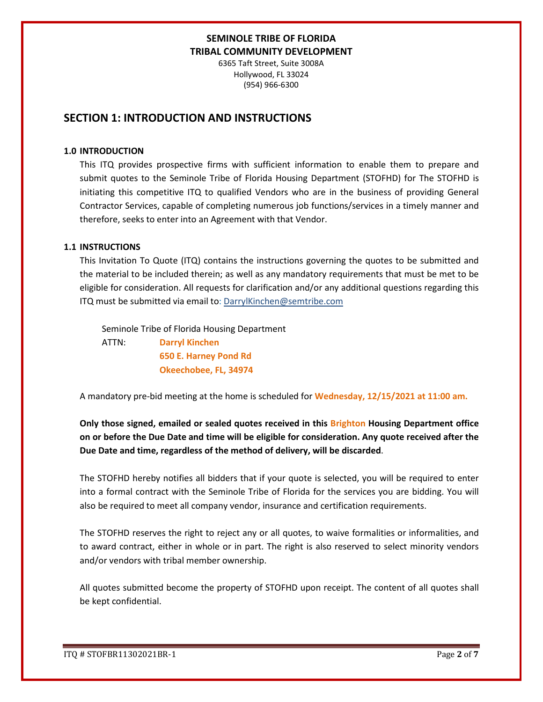6365 Taft Street, Suite 3008A Hollywood, FL 33024 (954) 966-6300

## **SECTION 1: INTRODUCTION AND INSTRUCTIONS**

#### **1.0 INTRODUCTION**

This ITQ provides prospective firms with sufficient information to enable them to prepare and submit quotes to the Seminole Tribe of Florida Housing Department (STOFHD) for The STOFHD is initiating this competitive ITQ to qualified Vendors who are in the business of providing General Contractor Services, capable of completing numerous job functions/services in a timely manner and therefore, seeks to enter into an Agreement with that Vendor.

#### **1.1 INSTRUCTIONS**

This Invitation To Quote (ITQ) contains the instructions governing the quotes to be submitted and the material to be included therein; as well as any mandatory requirements that must be met to be eligible for consideration. All requests for clarification and/or any additional questions regarding this ITQ must be submitted via email to: DarrylKinchen@semtribe.com

 Seminole Tribe of Florida Housing Department ATTN: **Darryl Kinchen**

 **650 E. Harney Pond Rd Okeechobee, FL, 34974**

A mandatory pre-bid meeting at the home is scheduled for **Wednesday, 12/15/2021 at 11:00 am.**

**Only those signed, emailed or sealed quotes received in this Brighton Housing Department office on or before the Due Date and time will be eligible for consideration. Any quote received after the Due Date and time, regardless of the method of delivery, will be discarded**.

The STOFHD hereby notifies all bidders that if your quote is selected, you will be required to enter into a formal contract with the Seminole Tribe of Florida for the services you are bidding. You will also be required to meet all company vendor, insurance and certification requirements.

The STOFHD reserves the right to reject any or all quotes, to waive formalities or informalities, and to award contract, either in whole or in part. The right is also reserved to select minority vendors and/or vendors with tribal member ownership.

All quotes submitted become the property of STOFHD upon receipt. The content of all quotes shall be kept confidential.

ITQ # STOFBR11302021BR-1 Page **2** of **7**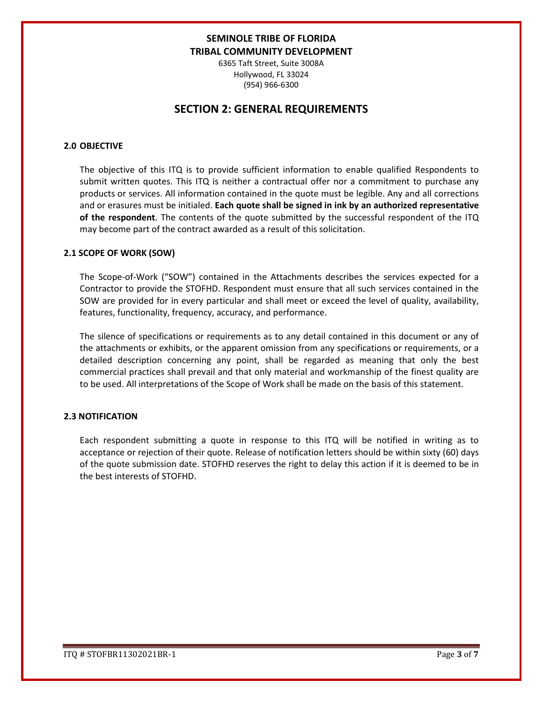6365 Taft Street, Suite 3008A Hollywood, FL 33024 (954) 966-6300

## **SECTION 2: GENERAL REQUIREMENTS**

#### **2.0 OBJECTIVE**

The objective of this ITQ is to provide sufficient information to enable qualified Respondents to submit written quotes. This ITQ is neither a contractual offer nor a commitment to purchase any products or services. All information contained in the quote must be legible. Any and all corrections and or erasures must be initialed. **Each quote shall be signed in ink by an authorized representative of the respondent**. The contents of the quote submitted by the successful respondent of the ITQ may become part of the contract awarded as a result of this solicitation.

#### **2.1 SCOPE OF WORK (SOW)**

The Scope-of-Work ("SOW") contained in the Attachments describes the services expected for a Contractor to provide the STOFHD. Respondent must ensure that all such services contained in the SOW are provided for in every particular and shall meet or exceed the level of quality, availability, features, functionality, frequency, accuracy, and performance.

The silence of specifications or requirements as to any detail contained in this document or any of the attachments or exhibits, or the apparent omission from any specifications or requirements, or a detailed description concerning any point, shall be regarded as meaning that only the best commercial practices shall prevail and that only material and workmanship of the finest quality are to be used. All interpretations of the Scope of Work shall be made on the basis of this statement.

#### **2.3 NOTIFICATION**

Each respondent submitting a quote in response to this ITQ will be notified in writing as to acceptance or rejection of their quote. Release of notification letters should be within sixty (60) days of the quote submission date. STOFHD reserves the right to delay this action if it is deemed to be in the best interests of STOFHD.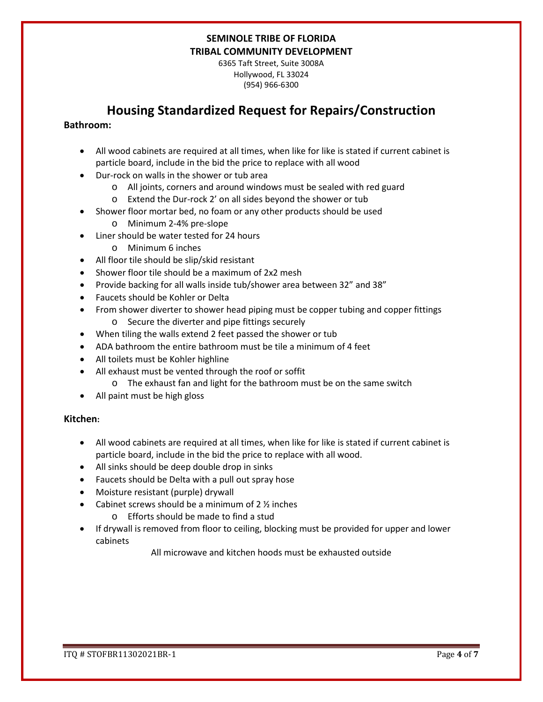6365 Taft Street, Suite 3008A Hollywood, FL 33024 (954) 966-6300

# **Housing Standardized Request for Repairs/Construction**

#### **Bathroom:**

- All wood cabinets are required at all times, when like for like is stated if current cabinet is particle board, include in the bid the price to replace with all wood
- Dur-rock on walls in the shower or tub area
	- o All joints, corners and around windows must be sealed with red guard
	- o Extend the Dur-rock 2' on all sides beyond the shower or tub
- Shower floor mortar bed, no foam or any other products should be used
	- o Minimum 2-4% pre-slope
- Liner should be water tested for 24 hours
	- o Minimum 6 inches
- All floor tile should be slip/skid resistant
- Shower floor tile should be a maximum of 2x2 mesh
- Provide backing for all walls inside tub/shower area between 32" and 38"
- Faucets should be Kohler or Delta
- From shower diverter to shower head piping must be copper tubing and copper fittings o Secure the diverter and pipe fittings securely
- When tiling the walls extend 2 feet passed the shower or tub
- ADA bathroom the entire bathroom must be tile a minimum of 4 feet
- All toilets must be Kohler highline
- All exhaust must be vented through the roof or soffit
	- o The exhaust fan and light for the bathroom must be on the same switch
- All paint must be high gloss

#### **Kitchen:**

- All wood cabinets are required at all times, when like for like is stated if current cabinet is particle board, include in the bid the price to replace with all wood.
- All sinks should be deep double drop in sinks
- Faucets should be Delta with a pull out spray hose
- Moisture resistant (purple) drywall
- Cabinet screws should be a minimum of  $2 \frac{1}{2}$  inches
	- o Efforts should be made to find a stud
- If drywall is removed from floor to ceiling, blocking must be provided for upper and lower cabinets

All microwave and kitchen hoods must be exhausted outside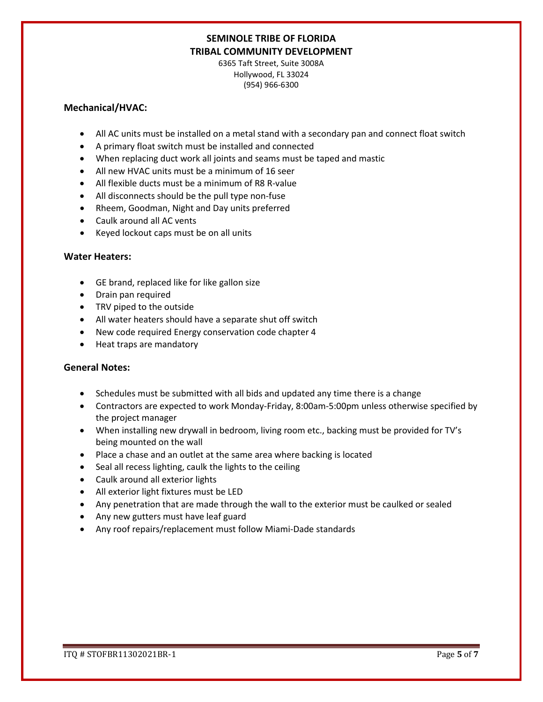6365 Taft Street, Suite 3008A Hollywood, FL 33024 (954) 966-6300

#### **Mechanical/HVAC:**

- All AC units must be installed on a metal stand with a secondary pan and connect float switch
- A primary float switch must be installed and connected
- When replacing duct work all joints and seams must be taped and mastic
- All new HVAC units must be a minimum of 16 seer
- All flexible ducts must be a minimum of R8 R-value
- All disconnects should be the pull type non-fuse
- Rheem, Goodman, Night and Day units preferred
- Caulk around all AC vents
- Keyed lockout caps must be on all units

#### **Water Heaters:**

- GE brand, replaced like for like gallon size
- Drain pan required
- TRV piped to the outside
- All water heaters should have a separate shut off switch
- New code required Energy conservation code chapter 4
- Heat traps are mandatory

#### **General Notes:**

- Schedules must be submitted with all bids and updated any time there is a change
- Contractors are expected to work Monday-Friday, 8:00am-5:00pm unless otherwise specified by the project manager
- When installing new drywall in bedroom, living room etc., backing must be provided for TV's being mounted on the wall
- Place a chase and an outlet at the same area where backing is located
- Seal all recess lighting, caulk the lights to the ceiling
- Caulk around all exterior lights
- All exterior light fixtures must be LED
- Any penetration that are made through the wall to the exterior must be caulked or sealed
- Any new gutters must have leaf guard
- Any roof repairs/replacement must follow Miami-Dade standards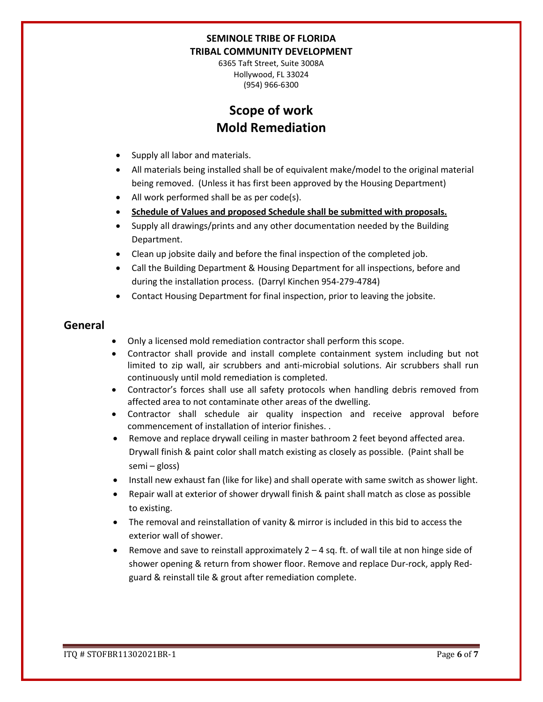6365 Taft Street, Suite 3008A Hollywood, FL 33024 (954) 966-6300

# **Scope of work Mold Remediation**

- Supply all labor and materials.
- All materials being installed shall be of equivalent make/model to the original material being removed. (Unless it has first been approved by the Housing Department)
- All work performed shall be as per code(s).
- **Schedule of Values and proposed Schedule shall be submitted with proposals.**
- Supply all drawings/prints and any other documentation needed by the Building Department.
- Clean up jobsite daily and before the final inspection of the completed job.
- Call the Building Department & Housing Department for all inspections, before and during the installation process. (Darryl Kinchen 954-279-4784)
- Contact Housing Department for final inspection, prior to leaving the jobsite.

## **General**

- Only a licensed mold remediation contractor shall perform this scope.
- Contractor shall provide and install complete containment system including but not limited to zip wall, air scrubbers and anti-microbial solutions. Air scrubbers shall run continuously until mold remediation is completed.
- Contractor's forces shall use all safety protocols when handling debris removed from affected area to not contaminate other areas of the dwelling.
- Contractor shall schedule air quality inspection and receive approval before commencement of installation of interior finishes. .
- Remove and replace drywall ceiling in master bathroom 2 feet beyond affected area. Drywall finish & paint color shall match existing as closely as possible. (Paint shall be semi – gloss)
- Install new exhaust fan (like for like) and shall operate with same switch as shower light.
- Repair wall at exterior of shower drywall finish & paint shall match as close as possible to existing.
- The removal and reinstallation of vanity & mirror is included in this bid to access the exterior wall of shower.
- Remove and save to reinstall approximately  $2 4$  sq. ft. of wall tile at non hinge side of shower opening & return from shower floor. Remove and replace Dur-rock, apply Redguard & reinstall tile & grout after remediation complete.